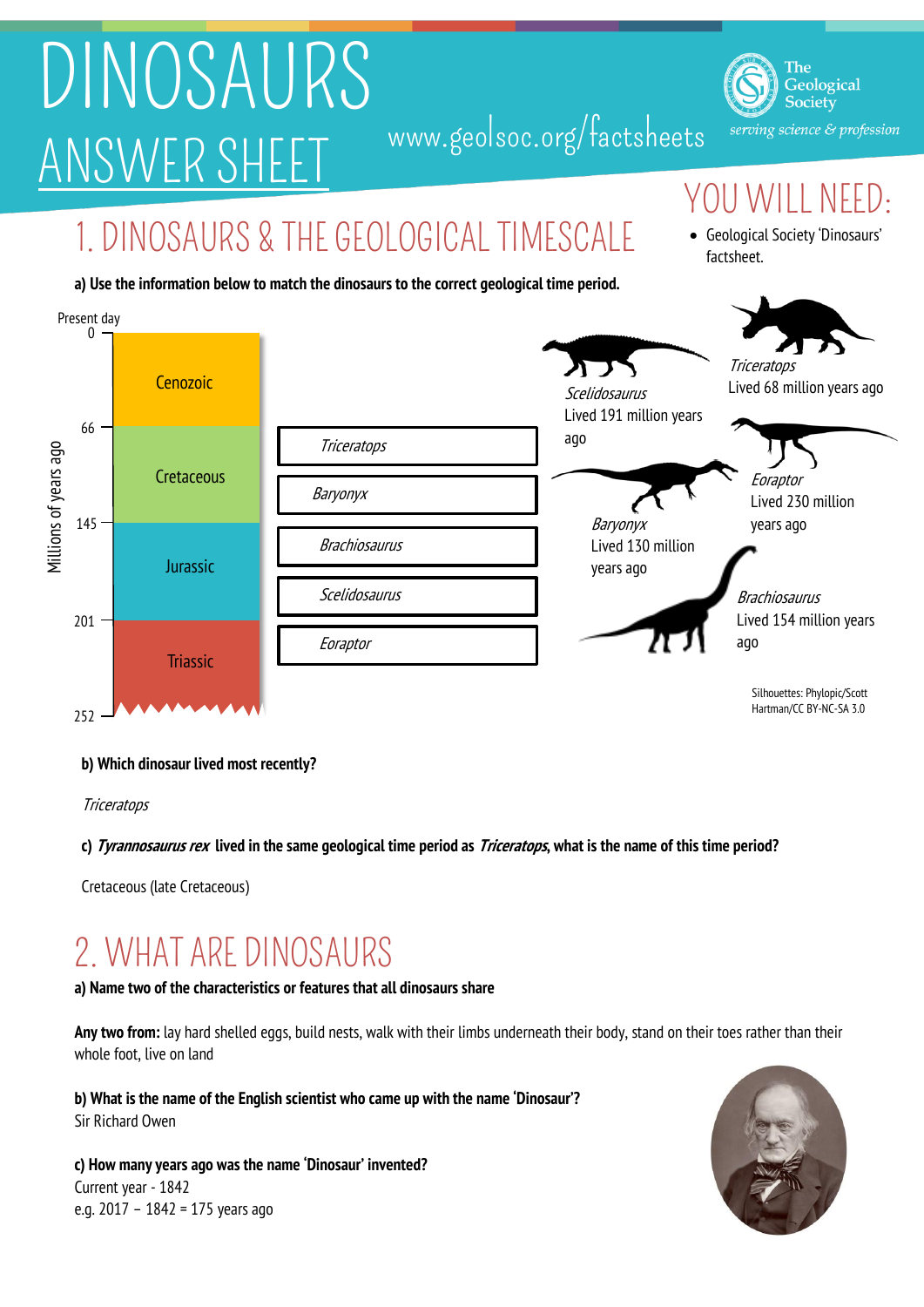# DINOSAURS ANSWER SHEET www.geolsoc.org/factsheets

The Geological Society serving science & profession

### OU WILL NEED:

Geological Society 'Dinosaurs'

factsheet.

### 1. DINOSAURS & THE GEOLOGICAL TIMESCALE

#### **a) Use the information below to match the dinosaurs to the correct geological time period.**



### **b) Which dinosaur lived most recently?**

**Triceratops** 

### **c) Tyrannosaurus rex lived in the same geological time period as Triceratops, what is the name of this time period?**

Cretaceous (late Cretaceous)

## 2. WHAT ARE DINOSAURS

### **a) Name two of the characteristics or features that all dinosaurs share**

**Any two from:** lay hard shelled eggs, build nests, walk with their limbs underneath their body, stand on their toes rather than their whole foot, live on land

**b) What is the name of the English scientist who came up with the name 'Dinosaur'?**  Sir Richard Owen

**c) How many years ago was the name 'Dinosaur' invented?** Current year - 1842 e.g. 2017 – 1842 = 175 years ago